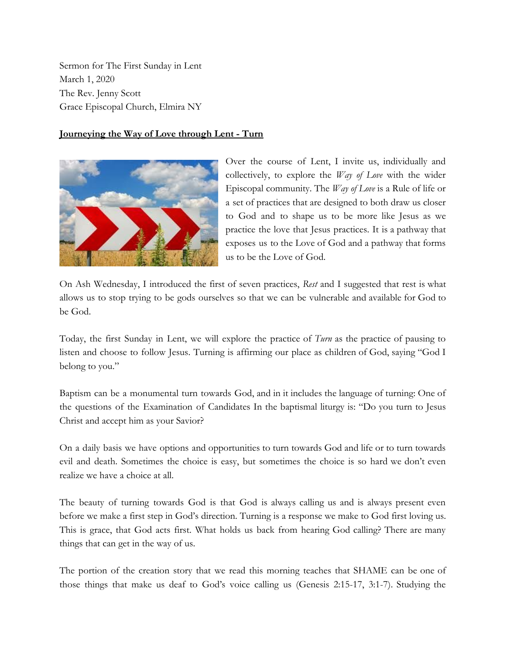Sermon for The First Sunday in Lent March 1, 2020 The Rev. Jenny Scott Grace Episcopal Church, Elmira NY

## **Journeying the Way of Love through Lent - Turn**



Over the course of Lent, I invite us, individually and collectively, to explore the *Way of Love* with the wider Episcopal community. The *Way of Love* is a Rule of life or a set of practices that are designed to both draw us closer to God and to shape us to be more like Jesus as we practice the love that Jesus practices. It is a pathway that exposes us to the Love of God and a pathway that forms us to be the Love of God.

On Ash Wednesday, I introduced the first of seven practices, *Rest* and I suggested that rest is what allows us to stop trying to be gods ourselves so that we can be vulnerable and available for God to be God.

Today, the first Sunday in Lent, we will explore the practice of *Turn* as the practice of pausing to listen and choose to follow Jesus. Turning is affirming our place as children of God, saying "God I belong to you."

Baptism can be a monumental turn towards God, and in it includes the language of turning: One of the questions of the Examination of Candidates In the baptismal liturgy is: "Do you turn to Jesus Christ and accept him as your Savior?

On a daily basis we have options and opportunities to turn towards God and life or to turn towards evil and death. Sometimes the choice is easy, but sometimes the choice is so hard we don't even realize we have a choice at all.

The beauty of turning towards God is that God is always calling us and is always present even before we make a first step in God's direction. Turning is a response we make to God first loving us. This is grace, that God acts first. What holds us back from hearing God calling? There are many things that can get in the way of us.

The portion of the creation story that we read this morning teaches that SHAME can be one of those things that make us deaf to God's voice calling us (Genesis 2:15-17, 3:1-7). Studying the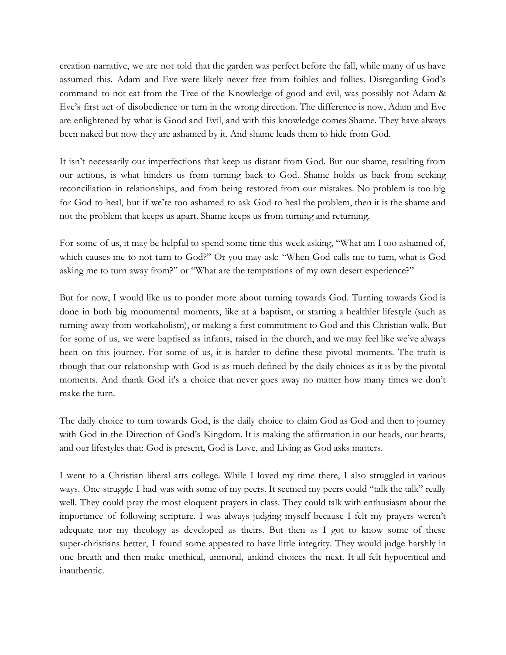creation narrative, we are not told that the garden was perfect before the fall, while many of us have assumed this. Adam and Eve were likely never free from foibles and follies. Disregarding God's command to not eat from the Tree of the Knowledge of good and evil, was possibly not Adam & Eve's first act of disobedience or turn in the wrong direction. The difference is now, Adam and Eve are enlightened by what is Good and Evil, and with this knowledge comes Shame. They have always been naked but now they are ashamed by it. And shame leads them to hide from God.

It isn't necessarily our imperfections that keep us distant from God. But our shame, resulting from our actions, is what hinders us from turning back to God. Shame holds us back from seeking reconciliation in relationships, and from being restored from our mistakes. No problem is too big for God to heal, but if we're too ashamed to ask God to heal the problem, then it is the shame and not the problem that keeps us apart. Shame keeps us from turning and returning.

For some of us, it may be helpful to spend some time this week asking, "What am I too ashamed of, which causes me to not turn to God?" Or you may ask: "When God calls me to turn, what is God asking me to turn away from?" or "What are the temptations of my own desert experience?"

But for now, I would like us to ponder more about turning towards God. Turning towards God is done in both big monumental moments, like at a baptism, or starting a healthier lifestyle (such as turning away from workaholism), or making a first commitment to God and this Christian walk. But for some of us, we were baptised as infants, raised in the church, and we may feel like we've always been on this journey. For some of us, it is harder to define these pivotal moments. The truth is though that our relationship with God is as much defined by the daily choices as it is by the pivotal moments. And thank God it's a choice that never goes away no matter how many times we don't make the turn.

The daily choice to turn towards God, is the daily choice to claim God as God and then to journey with God in the Direction of God's Kingdom. It is making the affirmation in our heads, our hearts, and our lifestyles that: God is present, God is Love, and Living as God asks matters.

I went to a Christian liberal arts college. While I loved my time there, I also struggled in various ways. One struggle I had was with some of my peers. It seemed my peers could "talk the talk" really well. They could pray the most eloquent prayers in class. They could talk with enthusiasm about the importance of following scripture. I was always judging myself because I felt my prayers weren't adequate nor my theology as developed as theirs. But then as I got to know some of these super-christians better, I found some appeared to have little integrity. They would judge harshly in one breath and then make unethical, unmoral, unkind choices the next. It all felt hypocritical and inauthentic.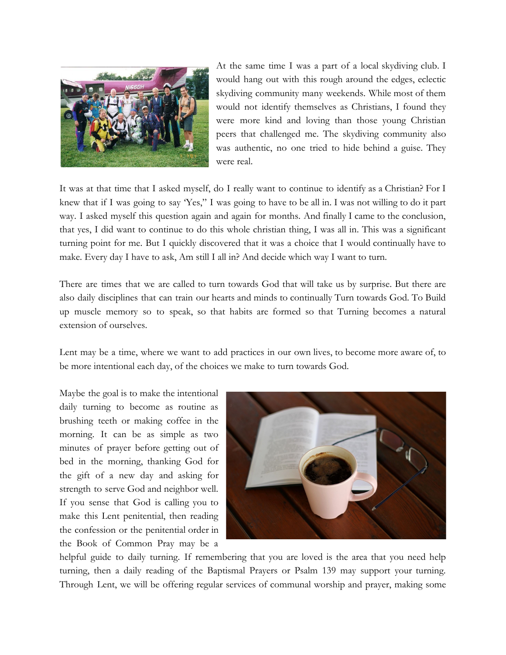

At the same time I was a part of a local skydiving club. I would hang out with this rough around the edges, eclectic skydiving community many weekends. While most of them would not identify themselves as Christians, I found they were more kind and loving than those young Christian peers that challenged me. The skydiving community also was authentic, no one tried to hide behind a guise. They were real.

It was at that time that I asked myself, do I really want to continue to identify as a Christian? For I knew that if I was going to say 'Yes," I was going to have to be all in. I was not willing to do it part way. I asked myself this question again and again for months. And finally I came to the conclusion, that yes, I did want to continue to do this whole christian thing, I was all in. This was a significant turning point for me. But I quickly discovered that it was a choice that I would continually have to make. Every day I have to ask, Am still I all in? And decide which way I want to turn.

There are times that we are called to turn towards God that will take us by surprise. But there are also daily disciplines that can train our hearts and minds to continually Turn towards God. To Build up muscle memory so to speak, so that habits are formed so that Turning becomes a natural extension of ourselves.

Lent may be a time, where we want to add practices in our own lives, to become more aware of, to be more intentional each day, of the choices we make to turn towards God.

Maybe the goal is to make the intentional daily turning to become as routine as brushing teeth or making coffee in the morning. It can be as simple as two minutes of prayer before getting out of bed in the morning, thanking God for the gift of a new day and asking for strength to serve God and neighbor well. If you sense that God is calling you to make this Lent penitential, then reading the confession or the penitential order in the Book of Common Pray may be a



helpful guide to daily turning. If remembering that you are loved is the area that you need help turning, then a daily reading of the Baptismal Prayers or Psalm 139 may support your turning. Through Lent, we will be offering regular services of communal worship and prayer, making some